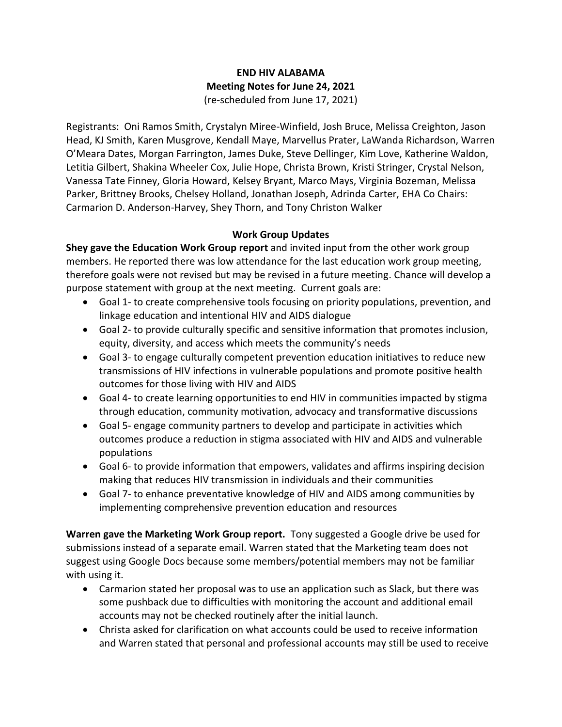## **END HIV ALABAMA Meeting Notes for June 24, 2021** (re-scheduled from June 17, 2021)

Registrants: Oni Ramos Smith, Crystalyn Miree-Winfield, Josh Bruce, Melissa Creighton, Jason Head, KJ Smith, Karen Musgrove, Kendall Maye, Marvellus Prater, LaWanda Richardson, Warren O'Meara Dates, Morgan Farrington, James Duke, Steve Dellinger, Kim Love, Katherine Waldon, Letitia Gilbert, Shakina Wheeler Cox, Julie Hope, Christa Brown, Kristi Stringer, Crystal Nelson, Vanessa Tate Finney, Gloria Howard, Kelsey Bryant, Marco Mays, Virginia Bozeman, Melissa Parker, Brittney Brooks, Chelsey Holland, Jonathan Joseph, Adrinda Carter, EHA Co Chairs: Carmarion D. Anderson-Harvey, Shey Thorn, and Tony Christon Walker

## **Work Group Updates**

**Shey gave the Education Work Group report** and invited input from the other work group members. He reported there was low attendance for the last education work group meeting, therefore goals were not revised but may be revised in a future meeting. Chance will develop a purpose statement with group at the next meeting. Current goals are:

- Goal 1- to create comprehensive tools focusing on priority populations, prevention, and linkage education and intentional HIV and AIDS dialogue
- Goal 2- to provide culturally specific and sensitive information that promotes inclusion, equity, diversity, and access which meets the community's needs
- Goal 3- to engage culturally competent prevention education initiatives to reduce new transmissions of HIV infections in vulnerable populations and promote positive health outcomes for those living with HIV and AIDS
- Goal 4- to create learning opportunities to end HIV in communities impacted by stigma through education, community motivation, advocacy and transformative discussions
- Goal 5- engage community partners to develop and participate in activities which outcomes produce a reduction in stigma associated with HIV and AIDS and vulnerable populations
- Goal 6- to provide information that empowers, validates and affirms inspiring decision making that reduces HIV transmission in individuals and their communities
- Goal 7- to enhance preventative knowledge of HIV and AIDS among communities by implementing comprehensive prevention education and resources

**Warren gave the Marketing Work Group report.** Tony suggested a Google drive be used for submissions instead of a separate email. Warren stated that the Marketing team does not suggest using Google Docs because some members/potential members may not be familiar with using it.

- Carmarion stated her proposal was to use an application such as Slack, but there was some pushback due to difficulties with monitoring the account and additional email accounts may not be checked routinely after the initial launch.
- Christa asked for clarification on what accounts could be used to receive information and Warren stated that personal and professional accounts may still be used to receive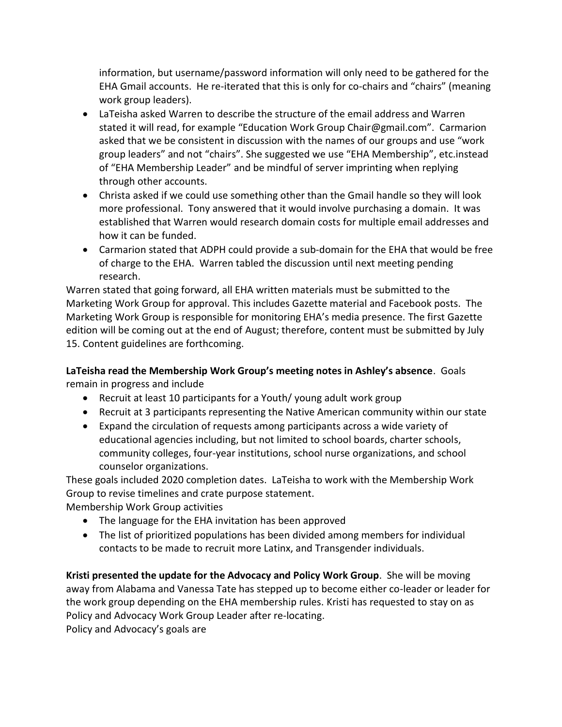information, but username/password information will only need to be gathered for the EHA Gmail accounts. He re-iterated that this is only for co-chairs and "chairs" (meaning work group leaders).

- LaTeisha asked Warren to describe the structure of the email address and Warren stated it will read, for example "Education Work Group Chair@gmail.com". Carmarion asked that we be consistent in discussion with the names of our groups and use "work group leaders" and not "chairs". She suggested we use "EHA Membership", etc.instead of "EHA Membership Leader" and be mindful of server imprinting when replying through other accounts.
- Christa asked if we could use something other than the Gmail handle so they will look more professional. Tony answered that it would involve purchasing a domain. It was established that Warren would research domain costs for multiple email addresses and how it can be funded.
- Carmarion stated that ADPH could provide a sub-domain for the EHA that would be free of charge to the EHA. Warren tabled the discussion until next meeting pending research.

Warren stated that going forward, all EHA written materials must be submitted to the Marketing Work Group for approval. This includes Gazette material and Facebook posts. The Marketing Work Group is responsible for monitoring EHA's media presence. The first Gazette edition will be coming out at the end of August; therefore, content must be submitted by July 15. Content guidelines are forthcoming.

**LaTeisha read the Membership Work Group's meeting notes in Ashley's absence**. Goals remain in progress and include

- Recruit at least 10 participants for a Youth/ young adult work group
- Recruit at 3 participants representing the Native American community within our state
- Expand the circulation of requests among participants across a wide variety of educational agencies including, but not limited to school boards, charter schools, community colleges, four-year institutions, school nurse organizations, and school counselor organizations.

These goals included 2020 completion dates. LaTeisha to work with the Membership Work Group to revise timelines and crate purpose statement.

Membership Work Group activities

- The language for the EHA invitation has been approved
- The list of prioritized populations has been divided among members for individual contacts to be made to recruit more Latinx, and Transgender individuals.

**Kristi presented the update for the Advocacy and Policy Work Group**. She will be moving away from Alabama and Vanessa Tate has stepped up to become either co-leader or leader for the work group depending on the EHA membership rules. Kristi has requested to stay on as Policy and Advocacy Work Group Leader after re-locating.

Policy and Advocacy's goals are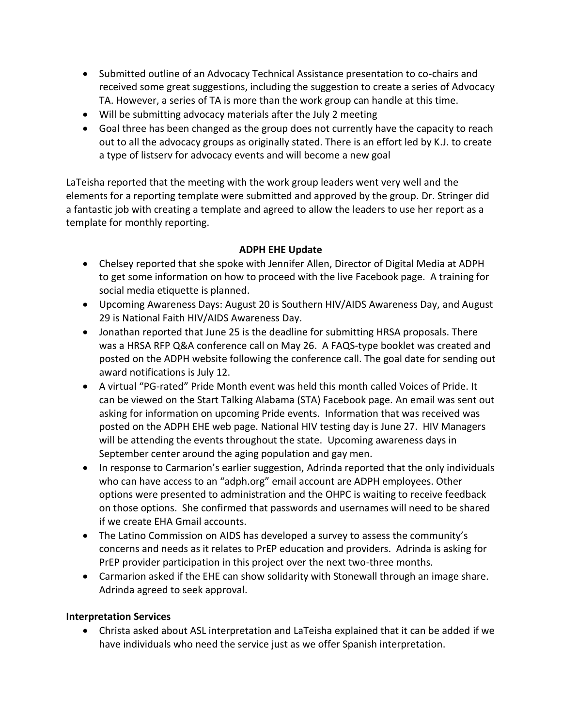- Submitted outline of an Advocacy Technical Assistance presentation to co-chairs and received some great suggestions, including the suggestion to create a series of Advocacy TA. However, a series of TA is more than the work group can handle at this time.
- Will be submitting advocacy materials after the July 2 meeting
- Goal three has been changed as the group does not currently have the capacity to reach out to all the advocacy groups as originally stated. There is an effort led by K.J. to create a type of listserv for advocacy events and will become a new goal

LaTeisha reported that the meeting with the work group leaders went very well and the elements for a reporting template were submitted and approved by the group. Dr. Stringer did a fantastic job with creating a template and agreed to allow the leaders to use her report as a template for monthly reporting.

## **ADPH EHE Update**

- Chelsey reported that she spoke with Jennifer Allen, Director of Digital Media at ADPH to get some information on how to proceed with the live Facebook page. A training for social media etiquette is planned.
- Upcoming Awareness Days: August 20 is Southern HIV/AIDS Awareness Day, and August 29 is National Faith HIV/AIDS Awareness Day.
- Jonathan reported that June 25 is the deadline for submitting HRSA proposals. There was a HRSA RFP Q&A conference call on May 26. A FAQS-type booklet was created and posted on the ADPH website following the conference call. The goal date for sending out award notifications is July 12.
- A virtual "PG-rated" Pride Month event was held this month called Voices of Pride. It can be viewed on the Start Talking Alabama (STA) Facebook page. An email was sent out asking for information on upcoming Pride events. Information that was received was posted on the ADPH EHE web page. National HIV testing day is June 27. HIV Managers will be attending the events throughout the state. Upcoming awareness days in September center around the aging population and gay men.
- In response to Carmarion's earlier suggestion, Adrinda reported that the only individuals who can have access to an "adph.org" email account are ADPH employees. Other options were presented to administration and the OHPC is waiting to receive feedback on those options. She confirmed that passwords and usernames will need to be shared if we create EHA Gmail accounts.
- The Latino Commission on AIDS has developed a survey to assess the community's concerns and needs as it relates to PrEP education and providers. Adrinda is asking for PrEP provider participation in this project over the next two-three months.
- Carmarion asked if the EHE can show solidarity with Stonewall through an image share. Adrinda agreed to seek approval.

## **Interpretation Services**

• Christa asked about ASL interpretation and LaTeisha explained that it can be added if we have individuals who need the service just as we offer Spanish interpretation.